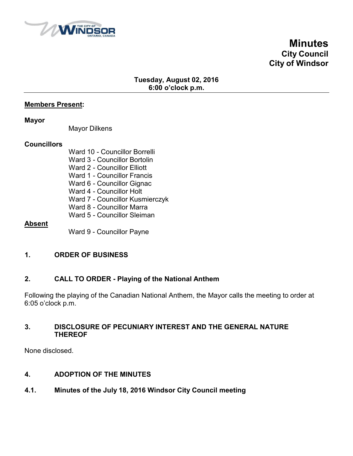

# **Minutes City Council City of Windsor**

## **Tuesday, August 02, 2016 6:00 o'clock p.m.**

### **Members Present:**

#### **Mayor**

Mayor Dilkens

### **Councillors**

Ward 10 - Councillor Borrelli Ward 3 - Councillor Bortolin Ward 2 - Councillor Elliott Ward 1 - Councillor Francis Ward 6 - Councillor Gignac Ward 4 - Councillor Holt Ward 7 - Councillor Kusmierczyk Ward 8 - Councillor Marra Ward 5 - Councillor Sleiman

### **Absent**

Ward 9 - Councillor Payne

## **1. ORDER OF BUSINESS**

## **2. CALL TO ORDER - Playing of the National Anthem**

Following the playing of the Canadian National Anthem, the Mayor calls the meeting to order at 6:05 o'clock p.m.

### **3. DISCLOSURE OF PECUNIARY INTEREST AND THE GENERAL NATURE THEREOF**

None disclosed.

### **4. ADOPTION OF THE MINUTES**

### **4.1. Minutes of the July 18, 2016 Windsor City Council meeting**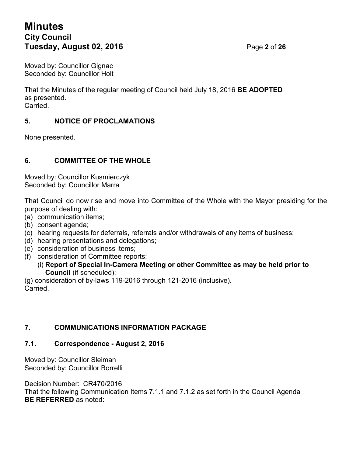# **Minutes City Council Tuesday, August 02, 2016** Page **2** of **26**

Moved by: Councillor Gignac Seconded by: Councillor Holt

That the Minutes of the regular meeting of Council held July 18, 2016 **BE ADOPTED** as presented. Carried.

# **5. NOTICE OF PROCLAMATIONS**

None presented.

## **6. COMMITTEE OF THE WHOLE**

Moved by: Councillor Kusmierczyk Seconded by: Councillor Marra

That Council do now rise and move into Committee of the Whole with the Mayor presiding for the purpose of dealing with:

- (a) communication items;
- (b) consent agenda;
- (c) hearing requests for deferrals, referrals and/or withdrawals of any items of business;
- (d) hearing presentations and delegations;
- (e) consideration of business items;
- (f) consideration of Committee reports:
	- (i) **Report of Special In-Camera Meeting or other Committee as may be held prior to Council** (if scheduled);

(g) consideration of by-laws 119-2016 through 121-2016 (inclusive). Carried.

### **7. COMMUNICATIONS INFORMATION PACKAGE**

### **7.1. Correspondence - August 2, 2016**

Moved by: Councillor Sleiman Seconded by: Councillor Borrelli

Decision Number: CR470/2016

That the following Communication Items 7.1.1 and 7.1.2 as set forth in the Council Agenda **BE REFERRED** as noted: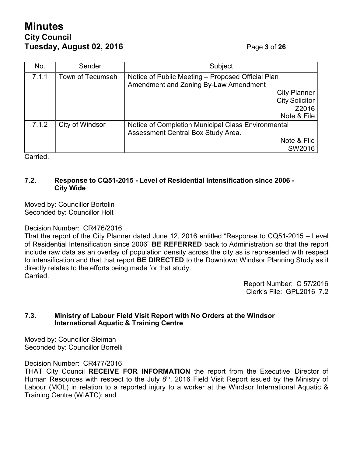# **Minutes City Council Tuesday, August 02, 2016** Page **3** of **26**

| No.   | Sender           | Subject                                                                                    |  |
|-------|------------------|--------------------------------------------------------------------------------------------|--|
| 7.1.1 | Town of Tecumseh | Notice of Public Meeting – Proposed Official Plan<br>Amendment and Zoning By-Law Amendment |  |
|       |                  | <b>City Planner</b>                                                                        |  |
|       |                  | <b>City Solicitor</b>                                                                      |  |
|       |                  | Z2016                                                                                      |  |
|       |                  | Note & File                                                                                |  |
| 7.1.2 | City of Windsor  | Notice of Completion Municipal Class Environmental<br>Assessment Central Box Study Area.   |  |
|       |                  | Note & File                                                                                |  |
|       |                  | SW2016                                                                                     |  |

Carried.

### **7.2. Response to CQ51-2015 - Level of Residential Intensification since 2006 - City Wide**

Moved by: Councillor Bortolin Seconded by: Councillor Holt

### Decision Number: CR476/2016

That the report of the City Planner dated June 12, 2016 entitled "Response to CQ51-2015 – Level of Residential Intensification since 2006" **BE REFERRED** back to Administration so that the report include raw data as an overlay of population density across the city as is represented with respect to intensification and that that report **BE DIRECTED** to the Downtown Windsor Planning Study as it directly relates to the efforts being made for that study. Carried.

> Report Number: C 57/2016 Clerk's File: GPL2016 7.2

### **7.3. Ministry of Labour Field Visit Report with No Orders at the Windsor International Aquatic & Training Centre**

Moved by: Councillor Sleiman Seconded by: Councillor Borrelli

Decision Number: CR477/2016

THAT City Council **RECEIVE FOR INFORMATION** the report from the Executive Director of Human Resources with respect to the July  $8<sup>th</sup>$ , 2016 Field Visit Report issued by the Ministry of Labour (MOL) in relation to a reported injury to a worker at the Windsor International Aquatic & Training Centre (WIATC); and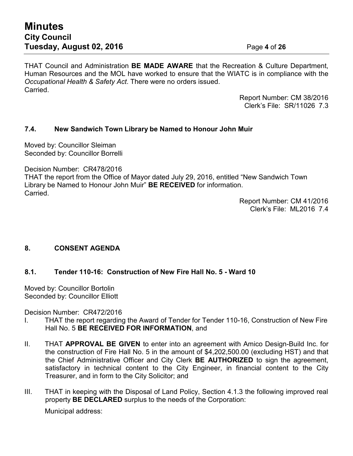THAT Council and Administration **BE MADE AWARE** that the Recreation & Culture Department, Human Resources and the MOL have worked to ensure that the WIATC is in compliance with the *Occupational Health & Safety Act*. There were no orders issued. **Carried** 

> Report Number: CM 38/2016 Clerk's File: SR/11026 7.3

### **7.4. New Sandwich Town Library be Named to Honour John Muir**

Moved by: Councillor Sleiman Seconded by: Councillor Borrelli

Decision Number: CR478/2016

THAT the report from the Office of Mayor dated July 29, 2016, entitled "New Sandwich Town Library be Named to Honour John Muir" **BE RECEIVED** for information. Carried.

> Report Number: CM 41/2016 Clerk's File: ML2016 7.4

## **8. CONSENT AGENDA**

### **8.1. Tender 110-16: Construction of New Fire Hall No. 5 - Ward 10**

Moved by: Councillor Bortolin Seconded by: Councillor Elliott

Decision Number: CR472/2016

- I. THAT the report regarding the Award of Tender for Tender 110-16, Construction of New Fire Hall No. 5 **BE RECEIVED FOR INFORMATION**, and
- II. THAT **APPROVAL BE GIVEN** to enter into an agreement with Amico Design-Build Inc. for the construction of Fire Hall No. 5 in the amount of \$4,202,500.00 (excluding HST) and that the Chief Administrative Officer and City Clerk **BE AUTHORIZED** to sign the agreement, satisfactory in technical content to the City Engineer, in financial content to the City Treasurer, and in form to the City Solicitor; and
- III. THAT in keeping with the Disposal of Land Policy, Section 4.1.3 the following improved real property **BE DECLARED** surplus to the needs of the Corporation:

Municipal address: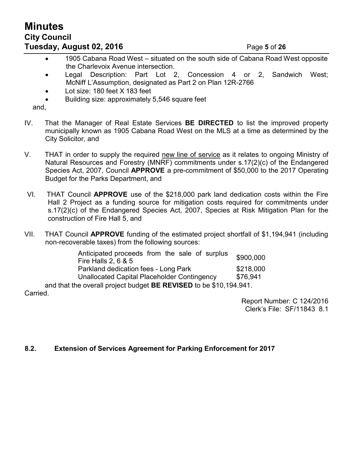# **Minutes City Council Tuesday, August 02, 2016** Page **5** of **26**

- 1905 Cabana Road West situated on the south side of Cabana Road West opposite the Charlevoix Avenue intersection.
- Legal Description: Part Lot 2, Concession 4 or 2, Sandwich West; McNiff L'Assumption, designated as Part 2 on Plan 12R-2766
- Lot size: 180 feet X 183 feet
- Building size: approximately 5,546 square feet

and,

- IV. That the Manager of Real Estate Services **BE DIRECTED** to list the improved property municipally known as 1905 Cabana Road West on the MLS at a time as determined by the City Solicitor, and
- V. THAT in order to supply the required new line of service as it relates to ongoing Ministry of Natural Resources and Forestry (MNRF) commitments under s.17(2)(c) of the Endangered Species Act, 2007, Council **APPROVE** a pre-commitment of \$50,000 to the 2017 Operating Budget for the Parks Department, and
- VI. THAT Council **APPROVE** use of the \$218,000 park land dedication costs within the Fire Hall 2 Project as a funding source for mitigation costs required for commitments under s.17(2)(c) of the Endangered Species Act, 2007, Species at Risk Mitigation Plan for the construction of Fire Hall 5, and
- VII. THAT Council **APPROVE** funding of the estimated project shortfall of \$1,194,941 (including non-recoverable taxes) from the following sources:

| Anticipated proceeds from the sale of surplus                 | \$900,000 |  |  |  |
|---------------------------------------------------------------|-----------|--|--|--|
| Fire Halls 2, $6$ & $5$                                       |           |  |  |  |
| Parkland dedication fees - Long Park                          | \$218,000 |  |  |  |
| Unallocated Capital Placeholder Contingency                   | \$76,941  |  |  |  |
| e overall project budget <b>RE REVISED</b> to be \$10,104,041 |           |  |  |  |

and that the overall project budget **BE REVISED** to be \$10,194.941. Carried.

> Report Number: C 124/2016 Clerk's File: SF/11843 8.1

### **8.2. Extension of Services Agreement for Parking Enforcement for 2017**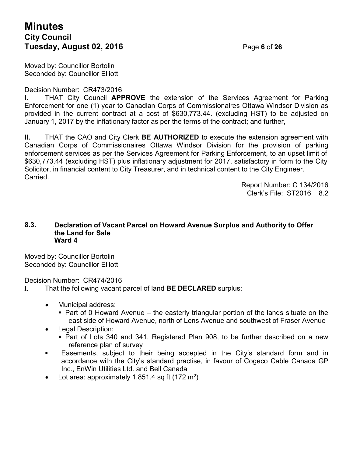Moved by: Councillor Bortolin Seconded by: Councillor Elliott

Decision Number: CR473/2016

**I.** THAT City Council **APPROVE** the extension of the Services Agreement for Parking Enforcement for one (1) year to Canadian Corps of Commissionaires Ottawa Windsor Division as provided in the current contract at a cost of \$630,773.44. (excluding HST) to be adjusted on January 1, 2017 by the inflationary factor as per the terms of the contract; and further,

**II.** THAT the CAO and City Clerk **BE AUTHORIZED** to execute the extension agreement with Canadian Corps of Commissionaires Ottawa Windsor Division for the provision of parking enforcement services as per the Services Agreement for Parking Enforcement, to an upset limit of \$630,773.44 (excluding HST) plus inflationary adjustment for 2017, satisfactory in form to the City Solicitor, in financial content to City Treasurer, and in technical content to the City Engineer. Carried.

> Report Number: C 134/2016 Clerk's File: ST2016 8.2

#### **8.3. Declaration of Vacant Parcel on Howard Avenue Surplus and Authority to Offer the Land for Sale Ward 4**

Moved by: Councillor Bortolin Seconded by: Councillor Elliott

Decision Number: CR474/2016

- I. That the following vacant parcel of land **BE DECLARED** surplus:
	- Municipal address:
		- $\blacksquare$  Part of 0 Howard Avenue the easterly triangular portion of the lands situate on the east side of Howard Avenue, north of Lens Avenue and southwest of Fraser Avenue
	- Legal Description:
		- Part of Lots 340 and 341, Registered Plan 908, to be further described on a new reference plan of survey
	- Easements, subject to their being accepted in the City's standard form and in accordance with the City's standard practise, in favour of Cogeco Cable Canada GP Inc., EnWin Utilities Ltd. and Bell Canada
	- Lot area: approximately 1,851.4 sq ft (172 m<sup>2</sup>)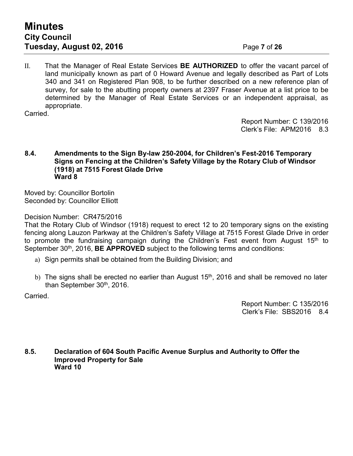II. That the Manager of Real Estate Services **BE AUTHORIZED** to offer the vacant parcel of land municipally known as part of 0 Howard Avenue and legally described as Part of Lots 340 and 341 on Registered Plan 908, to be further described on a new reference plan of survey, for sale to the abutting property owners at 2397 Fraser Avenue at a list price to be determined by the Manager of Real Estate Services or an independent appraisal, as appropriate.

Carried.

Report Number: C 139/2016 Clerk's File: APM2016 8.3

#### **8.4. Amendments to the Sign By-law 250-2004, for Children's Fest-2016 Temporary Signs on Fencing at the Children's Safety Village by the Rotary Club of Windsor (1918) at 7515 Forest Glade Drive Ward 8**

Moved by: Councillor Bortolin Seconded by: Councillor Elliott

### Decision Number: CR475/2016

That the Rotary Club of Windsor (1918) request to erect 12 to 20 temporary signs on the existing fencing along Lauzon Parkway at the Children's Safety Village at 7515 Forest Glade Drive in order to promote the fundraising campaign during the Children's Fest event from August  $15<sup>th</sup>$  to September 30<sup>th</sup>, 2016, **BE APPROVED** subject to the following terms and conditions:

- a) Sign permits shall be obtained from the Building Division; and
- $\,$ b) The signs shall be erected no earlier than August 15 $^{\rm th}$ , 2016 and shall be removed no later than September 30<sup>th</sup>, 2016.

Carried.

Report Number: C 135/2016 Clerk's File: SBS2016 8.4

**8.5. Declaration of 604 South Pacific Avenue Surplus and Authority to Offer the Improved Property for Sale Ward 10**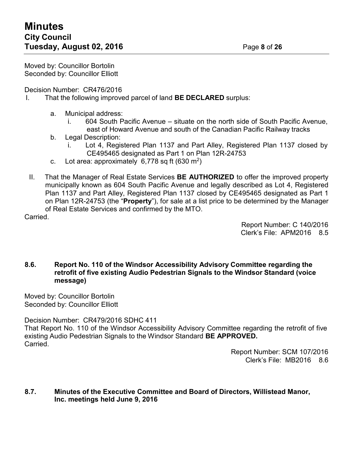Moved by: Councillor Bortolin Seconded by: Councillor Elliott

Decision Number: CR476/2016

- I. That the following improved parcel of land **BE DECLARED** surplus:
	- a. Municipal address:
		- i. 604 South Pacific Avenue situate on the north side of South Pacific Avenue, east of Howard Avenue and south of the Canadian Pacific Railway tracks
	- b. Legal Description:
		- i. Lot 4, Registered Plan 1137 and Part Alley, Registered Plan 1137 closed by CE495465 designated as Part 1 on Plan 12R-24753
	- c. Lot area: approximately  $6,778$  sq ft (630 m<sup>2</sup>)
- II. That the Manager of Real Estate Services **BE AUTHORIZED** to offer the improved property municipally known as 604 South Pacific Avenue and legally described as Lot 4, Registered Plan 1137 and Part Alley, Registered Plan 1137 closed by CE495465 designated as Part 1 on Plan 12R-24753 (the "**Property**"), for sale at a list price to be determined by the Manager of Real Estate Services and confirmed by the MTO.

Carried.

Report Number: C 140/2016 Clerk's File: APM2016 8.5

### **8.6. Report No. 110 of the Windsor Accessibility Advisory Committee regarding the retrofit of five existing Audio Pedestrian Signals to the Windsor Standard (voice message)**

Moved by: Councillor Bortolin Seconded by: Councillor Elliott

Decision Number: CR479/2016 SDHC 411

That Report No. 110 of the Windsor Accessibility Advisory Committee regarding the retrofit of five existing Audio Pedestrian Signals to the Windsor Standard **BE APPROVED. Carried** 

> Report Number: SCM 107/2016 Clerk's File: MB2016 8.6

### **8.7. Minutes of the Executive Committee and Board of Directors, Willistead Manor, Inc. meetings held June 9, 2016**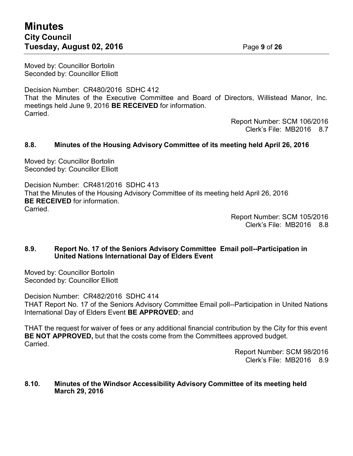# **Minutes City Council Tuesday, August 02, 2016** Page **9** of **26**

Moved by: Councillor Bortolin Seconded by: Councillor Elliott

Decision Number: CR480/2016 SDHC 412 That the Minutes of the Executive Committee and Board of Directors, Willistead Manor, Inc. meetings held June 9, 2016 **BE RECEIVED** for information. Carried.

Report Number: SCM 106/2016 Clerk's File: MB2016 8.7

### **8.8. Minutes of the Housing Advisory Committee of its meeting held April 26, 2016**

Moved by: Councillor Bortolin Seconded by: Councillor Elliott

Decision Number: CR481/2016 SDHC 413 That the Minutes of the Housing Advisory Committee of its meeting held April 26, 2016 **BE RECEIVED** for information. Carried.

Report Number: SCM 105/2016 Clerk's File: MB2016 8.8

### **8.9. Report No. 17 of the Seniors Advisory Committee Email poll--Participation in United Nations International Day of Elders Event**

Moved by: Councillor Bortolin Seconded by: Councillor Elliott

Decision Number: CR482/2016 SDHC 414 THAT Report No. 17 of the Seniors Advisory Committee Email poll--Participation in United Nations International Day of Elders Event **BE APPROVED**; and

THAT the request for waiver of fees or any additional financial contribution by the City for this event **BE NOT APPROVED,** but that the costs come from the Committees approved budget. **Carried** 

> Report Number: SCM 98/2016 Clerk's File: MB2016 8.9

### **8.10. Minutes of the Windsor Accessibility Advisory Committee of its meeting held March 29, 2016**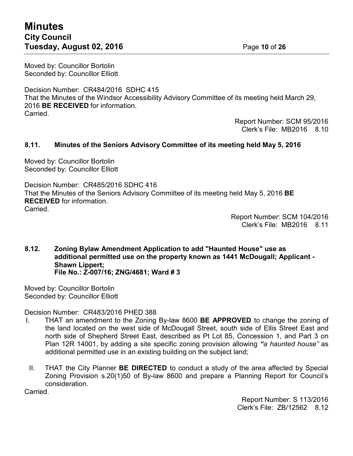# **Minutes City Council Tuesday, August 02, 2016** Page **10** of **26**

Moved by: Councillor Bortolin Seconded by: Councillor Elliott

Decision Number: CR484/2016 SDHC 415 That the Minutes of the Windsor Accessibility Advisory Committee of its meeting held March 29, 2016 **BE RECEIVED** for information. Carried.

Report Number: SCM 95/2016 Clerk's File: MB2016 8.10

### **8.11. Minutes of the Seniors Advisory Committee of its meeting held May 5, 2016**

Moved by: Councillor Bortolin Seconded by: Councillor Elliott

Decision Number: CR485/2016 SDHC 416 That the Minutes of the Seniors Advisory Committee of its meeting held May 5, 2016 **BE RECEIVED** for information. Carried.

> Report Number: SCM 104/2016 Clerk's File: MB2016 8.11

#### **8.12. Zoning Bylaw Amendment Application to add "Haunted House" use as additional permitted use on the property known as 1441 McDougall; Applicant - Shawn Lippert; File No.: Z-007/16; ZNG/4681; Ward # 3**

Moved by: Councillor Bortolin Seconded by: Councillor Elliott

Decision Number: CR483/2016 PHED 388

- I. THAT an amendment to the Zoning By-law 8600 **BE APPROVED** to change the zoning of the land located on the west side of McDougall Street, south side of Ellis Street East and north side of Shepherd Street East, described as Pt Lot 85, Concession 1, and Part 3 on Plan 12R 14001, by adding a site specific zoning provision allowing *"a haunted house"* as additional permitted use in an existing building on the subject land;
- II. THAT the City Planner **BE DIRECTED** to conduct a study of the area affected by Special Zoning Provision s.20(1)50 of By-law 8600 and prepare a Planning Report for Council's consideration.

Carried.

Report Number: S 113/2016 Clerk's File: ZB/12562 8.12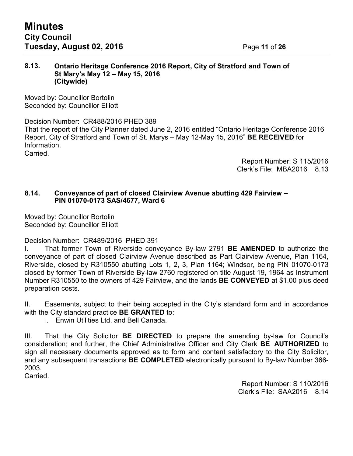### **8.13. Ontario Heritage Conference 2016 Report, City of Stratford and Town of St Mary's May 12 – May 15, 2016 (Citywide)**

Moved by: Councillor Bortolin Seconded by: Councillor Elliott

Decision Number: CR488/2016 PHED 389 That the report of the City Planner dated June 2, 2016 entitled "Ontario Heritage Conference 2016 Report, City of Stratford and Town of St. Marys – May 12-May 15, 2016" **BE RECEIVED** for Information. Carried.

> Report Number: S 115/2016 Clerk's File: MBA2016 8.13

### **8.14. Conveyance of part of closed Clairview Avenue abutting 429 Fairview – PIN 01070-0173 SAS/4677, Ward 6**

Moved by: Councillor Bortolin Seconded by: Councillor Elliott

Decision Number: CR489/2016 PHED 391

I. That former Town of Riverside conveyance By-law 2791 **BE AMENDED** to authorize the conveyance of part of closed Clairview Avenue described as Part Clairview Avenue, Plan 1164, Riverside, closed by R310550 abutting Lots 1, 2, 3, Plan 1164; Windsor, being PIN 01070-0173 closed by former Town of Riverside By-law 2760 registered on title August 19, 1964 as Instrument Number R310550 to the owners of 429 Fairview, and the lands **BE CONVEYED** at \$1.00 plus deed preparation costs.

II. Easements, subject to their being accepted in the City's standard form and in accordance with the City standard practice **BE GRANTED** to:

i. Enwin Utilities Ltd. and Bell Canada.

III. That the City Solicitor **BE DIRECTED** to prepare the amending by-law for Council's consideration; and further, the Chief Administrative Officer and City Clerk **BE AUTHORIZED** to sign all necessary documents approved as to form and content satisfactory to the City Solicitor, and any subsequent transactions **BE COMPLETED** electronically pursuant to By-law Number 366- 2003.

Carried.

Report Number: S 110/2016 Clerk's File: SAA2016 8.14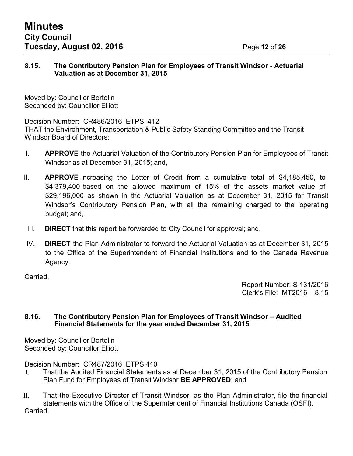### **8.15. The Contributory Pension Plan for Employees of Transit Windsor - Actuarial Valuation as at December 31, 2015**

Moved by: Councillor Bortolin Seconded by: Councillor Elliott

Decision Number: CR486/2016 ETPS 412

THAT the Environment, Transportation & Public Safety Standing Committee and the Transit Windsor Board of Directors:

- I. **APPROVE** the Actuarial Valuation of the Contributory Pension Plan for Employees of Transit Windsor as at December 31, 2015; and,
- II. **APPROVE** increasing the Letter of Credit from a cumulative total of \$4,185,450, to \$4,379,400 based on the allowed maximum of 15% of the assets market value of \$29,196,000 as shown in the Actuarial Valuation as at December 31, 2015 for Transit Windsor's Contributory Pension Plan, with all the remaining charged to the operating budget; and,
- III. **DIRECT** that this report be forwarded to City Council for approval; and,
- IV. **DIRECT** the Plan Administrator to forward the Actuarial Valuation as at December 31, 2015 to the Office of the Superintendent of Financial Institutions and to the Canada Revenue Agency.

Carried.

Report Number: S 131/2016 Clerk's File: MT2016 8.15

### **8.16. The Contributory Pension Plan for Employees of Transit Windsor – Audited Financial Statements for the year ended December 31, 2015**

Moved by: Councillor Bortolin Seconded by: Councillor Elliott

Decision Number: CR487/2016 ETPS 410

- I. That the Audited Financial Statements as at December 31, 2015 of the Contributory Pension Plan Fund for Employees of Transit Windsor **BE APPROVED**; and
- II. That the Executive Director of Transit Windsor, as the Plan Administrator, file the financial statements with the Office of the Superintendent of Financial Institutions Canada (OSFI). **Carried**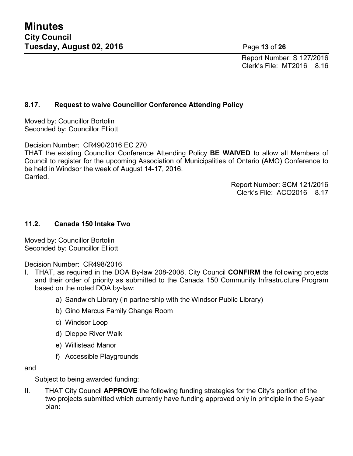Report Number: S 127/2016 Clerk's File: MT2016 8.16

## **8.17. Request to waive Councillor Conference Attending Policy**

Moved by: Councillor Bortolin Seconded by: Councillor Elliott

Decision Number: CR490/2016 EC 270

THAT the existing Councillor Conference Attending Policy **BE WAIVED** to allow all Members of Council to register for the upcoming Association of Municipalities of Ontario (AMO) Conference to be held in Windsor the week of August 14-17, 2016. Carried.

> Report Number: SCM 121/2016 Clerk's File: ACO2016 8.17

### **11.2. Canada 150 Intake Two**

Moved by: Councillor Bortolin Seconded by: Councillor Elliott

Decision Number: CR498/2016

- I. THAT, as required in the DOA By-law 208-2008, City Council **CONFIRM** the following projects and their order of priority as submitted to the Canada 150 Community Infrastructure Program based on the noted DOA by-law:
	- a) Sandwich Library (in partnership with the Windsor Public Library)
	- b) Gino Marcus Family Change Room
	- c) Windsor Loop
	- d) Dieppe River Walk
	- e) Willistead Manor
	- f) Accessible Playgrounds

and

Subject to being awarded funding:

II. THAT City Council **APPROVE** the following funding strategies for the City's portion of the two projects submitted which currently have funding approved only in principle in the 5-year plan**:**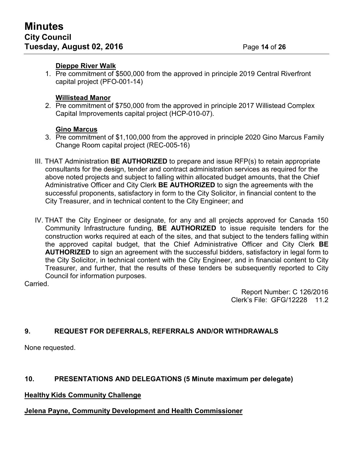### **Dieppe River Walk**

1. Pre commitment of \$500,000 from the approved in principle 2019 Central Riverfront capital project (PFO-001-14)

### **Willistead Manor**

2. Pre commitment of \$750,000 from the approved in principle 2017 Willistead Complex Capital Improvements capital project (HCP-010-07).

### **Gino Marcus**

- 3. Pre commitment of \$1,100,000 from the approved in principle 2020 Gino Marcus Family Change Room capital project (REC-005-16)
- III. THAT Administration **BE AUTHORIZED** to prepare and issue RFP(s) to retain appropriate consultants for the design, tender and contract administration services as required for the above noted projects and subject to falling within allocated budget amounts, that the Chief Administrative Officer and City Clerk **BE AUTHORIZED** to sign the agreements with the successful proponents, satisfactory in form to the City Solicitor, in financial content to the City Treasurer, and in technical content to the City Engineer; and
- IV. THAT the City Engineer or designate, for any and all projects approved for Canada 150 Community Infrastructure funding, **BE AUTHORIZED** to issue requisite tenders for the construction works required at each of the sites, and that subject to the tenders falling within the approved capital budget, that the Chief Administrative Officer and City Clerk **BE AUTHORIZED** to sign an agreement with the successful bidders, satisfactory in legal form to the City Solicitor, in technical content with the City Engineer, and in financial content to City Treasurer, and further, that the results of these tenders be subsequently reported to City Council for information purposes.

Carried.

Report Number: C 126/2016 Clerk's File: GFG/12228 11.2

# **9. REQUEST FOR DEFERRALS, REFERRALS AND/OR WITHDRAWALS**

None requested.

# **10. PRESENTATIONS AND DELEGATIONS (5 Minute maximum per delegate)**

## **Healthy Kids Community Challenge**

## **Jelena Payne, Community Development and Health Commissioner**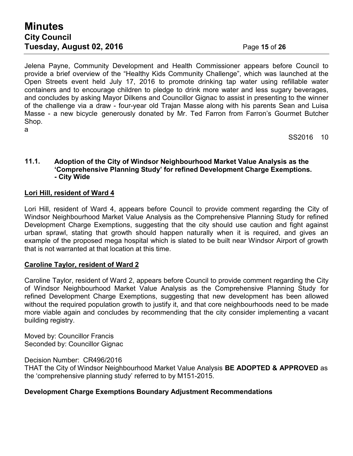# **Minutes City Council Tuesday, August 02, 2016** Page 15 of 26

Jelena Payne, Community Development and Health Commissioner appears before Council to provide a brief overview of the "Healthy Kids Community Challenge", which was launched at the Open Streets event held July 17, 2016 to promote drinking tap water using refillable water containers and to encourage children to pledge to drink more water and less sugary beverages, and concludes by asking Mayor Dilkens and Councillor Gignac to assist in presenting to the winner of the challenge via a draw - four-year old Trajan Masse along with his parents Sean and Luisa Masse - a new bicycle generously donated by Mr. Ted Farron from Farron's Gourmet Butcher Shop. a

SS2016 10

### **11.1. Adoption of the City of Windsor Neighbourhood Market Value Analysis as the 'Comprehensive Planning Study' for refined Development Charge Exemptions. - City Wide**

### **Lori Hill, resident of Ward 4**

Lori Hill, resident of Ward 4, appears before Council to provide comment regarding the City of Windsor Neighbourhood Market Value Analysis as the Comprehensive Planning Study for refined Development Charge Exemptions, suggesting that the city should use caution and fight against urban sprawl, stating that growth should happen naturally when it is required, and gives an example of the proposed mega hospital which is slated to be built near Windsor Airport of growth that is not warranted at that location at this time.

### **Caroline Taylor, resident of Ward 2**

Caroline Taylor, resident of Ward 2, appears before Council to provide comment regarding the City of Windsor Neighbourhood Market Value Analysis as the Comprehensive Planning Study for refined Development Charge Exemptions, suggesting that new development has been allowed without the required population growth to justify it, and that core neighbourhoods need to be made more viable again and concludes by recommending that the city consider implementing a vacant building registry.

Moved by: Councillor Francis Seconded by: Councillor Gignac

Decision Number: CR496/2016

THAT the City of Windsor Neighbourhood Market Value Analysis **BE ADOPTED & APPROVED** as the 'comprehensive planning study' referred to by M151-2015.

### **Development Charge Exemptions Boundary Adjustment Recommendations**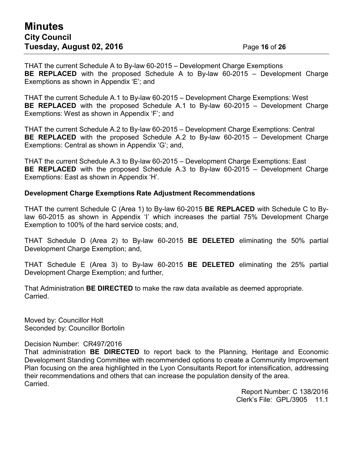# **Minutes City Council Tuesday, August 02, 2016** Page 16 of 26

THAT the current Schedule A to By-law 60-2015 – Development Charge Exemptions **BE REPLACED** with the proposed Schedule A to By-law 60-2015 – Development Charge Exemptions as shown in Appendix 'E'; and

THAT the current Schedule A.1 to By-law 60-2015 – Development Charge Exemptions: West **BE REPLACED** with the proposed Schedule A.1 to By-law 60-2015 – Development Charge Exemptions: West as shown in Appendix 'F'; and

THAT the current Schedule A.2 to By-law 60-2015 – Development Charge Exemptions: Central **BE REPLACED** with the proposed Schedule A.2 to By-law 60-2015 – Development Charge Exemptions: Central as shown in Appendix 'G'; and,

THAT the current Schedule A.3 to By-law 60-2015 – Development Charge Exemptions: East **BE REPLACED** with the proposed Schedule A.3 to By-law 60-2015 – Development Charge Exemptions: East as shown in Appendix 'H'.

### **Development Charge Exemptions Rate Adjustment Recommendations**

THAT the current Schedule C (Area 1) to By-law 60-2015 **BE REPLACED** with Schedule C to Bylaw 60-2015 as shown in Appendix 'I' which increases the partial 75% Development Charge Exemption to 100% of the hard service costs; and,

THAT Schedule D (Area 2) to By-law 60-2015 **BE DELETED** eliminating the 50% partial Development Charge Exemption; and,

THAT Schedule E (Area 3) to By-law 60-2015 **BE DELETED** eliminating the 25% partial Development Charge Exemption; and further,

That Administration **BE DIRECTED** to make the raw data available as deemed appropriate. Carried.

Moved by: Councillor Holt Seconded by: Councillor Bortolin

Decision Number: CR497/2016

That administration **BE DIRECTED** to report back to the Planning, Heritage and Economic Development Standing Committee with recommended options to create a Community Improvement Plan focusing on the area highlighted in the Lyon Consultants Report for intensification, addressing their recommendations and others that can increase the population density of the area. Carried.

> Report Number: C 138/2016 Clerk's File: GPL/3905 11.1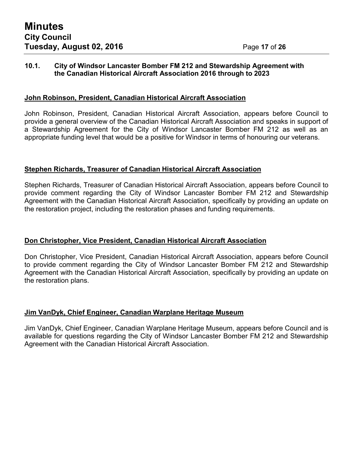### **10.1. City of Windsor Lancaster Bomber FM 212 and Stewardship Agreement with the Canadian Historical Aircraft Association 2016 through to 2023**

### **John Robinson, President, Canadian Historical Aircraft Association**

John Robinson, President, Canadian Historical Aircraft Association, appears before Council to provide a general overview of the Canadian Historical Aircraft Association and speaks in support of a Stewardship Agreement for the City of Windsor Lancaster Bomber FM 212 as well as an appropriate funding level that would be a positive for Windsor in terms of honouring our veterans.

### **Stephen Richards, Treasurer of Canadian Historical Aircraft Association**

Stephen Richards, Treasurer of Canadian Historical Aircraft Association, appears before Council to provide comment regarding the City of Windsor Lancaster Bomber FM 212 and Stewardship Agreement with the Canadian Historical Aircraft Association, specifically by providing an update on the restoration project, including the restoration phases and funding requirements.

### **Don Christopher, Vice President, Canadian Historical Aircraft Association**

Don Christopher, Vice President, Canadian Historical Aircraft Association, appears before Council to provide comment regarding the City of Windsor Lancaster Bomber FM 212 and Stewardship Agreement with the Canadian Historical Aircraft Association, specifically by providing an update on the restoration plans.

### **Jim VanDyk, Chief Engineer, Canadian Warplane Heritage Museum**

Jim VanDyk, Chief Engineer, Canadian Warplane Heritage Museum, appears before Council and is available for questions regarding the City of Windsor Lancaster Bomber FM 212 and Stewardship Agreement with the Canadian Historical Aircraft Association.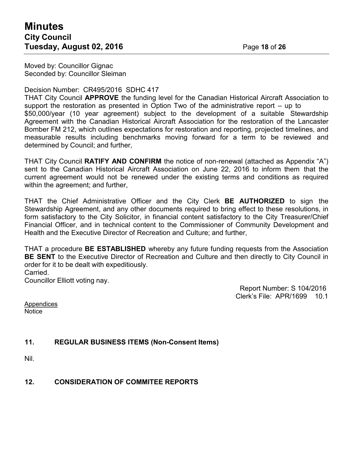Moved by: Councillor Gignac Seconded by: Councillor Sleiman

Decision Number: CR495/2016 SDHC 417

THAT City Council **APPROVE** the funding level for the Canadian Historical Aircraft Association to support the restoration as presented in Option Two of the administrative report – up to \$50,000/year (10 year agreement) subject to the development of a suitable Stewardship Agreement with the Canadian Historical Aircraft Association for the restoration of the Lancaster Bomber FM 212, which outlines expectations for restoration and reporting, projected timelines, and measurable results including benchmarks moving forward for a term to be reviewed and determined by Council; and further,

THAT City Council **RATIFY AND CONFIRM** the notice of non-renewal (attached as Appendix "A") sent to the Canadian Historical Aircraft Association on June 22, 2016 to inform them that the current agreement would not be renewed under the existing terms and conditions as required within the agreement; and further,

THAT the Chief Administrative Officer and the City Clerk **BE AUTHORIZED** to sign the Stewardship Agreement, and any other documents required to bring effect to these resolutions, in form satisfactory to the City Solicitor, in financial content satisfactory to the City Treasurer/Chief Financial Officer, and in technical content to the Commissioner of Community Development and Health and the Executive Director of Recreation and Culture; and further,

THAT a procedure **BE ESTABLISHED** whereby any future funding requests from the Association **BE SENT** to the Executive Director of Recreation and Culture and then directly to City Council in order for it to be dealt with expeditiously. Carried.

Councillor Elliott voting nay.

Report Number: S 104/2016 Clerk's File: APR/1699 10.1

**Appendices Notice** 

## **11. REGULAR BUSINESS ITEMS (Non-Consent Items)**

Nil.

**12. CONSIDERATION OF COMMITEE REPORTS**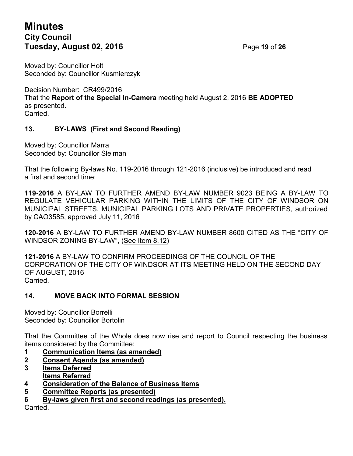# **Minutes City Council Tuesday, August 02, 2016** Page **19** of **26**

Moved by: Councillor Holt Seconded by: Councillor Kusmierczyk

Decision Number: CR499/2016 That the **Report of the Special In-Camera** meeting held August 2, 2016 **BE ADOPTED** as presented. Carried.

## **13. BY-LAWS (First and Second Reading)**

Moved by: Councillor Marra Seconded by: Councillor Sleiman

That the following By-laws No. 119-2016 through 121-2016 (inclusive) be introduced and read a first and second time:

**119-2016** A BY-LAW TO FURTHER AMEND BY-LAW NUMBER 9023 BEING A BY-LAW TO REGULATE VEHICULAR PARKING WITHIN THE LIMITS OF THE CITY OF WINDSOR ON MUNICIPAL STREETS, MUNICIPAL PARKING LOTS AND PRIVATE PROPERTIES, authorized by CAO3585, approved July 11, 2016

**120-2016** A BY-LAW TO FURTHER AMEND BY-LAW NUMBER 8600 CITED AS THE "CITY OF WINDSOR ZONING BY-LAW", (See Item 8.12)

**121-2016** A BY-LAW TO CONFIRM PROCEEDINGS OF THE COUNCIL OF THE CORPORATION OF THE CITY OF WINDSOR AT ITS MEETING HELD ON THE SECOND DAY OF AUGUST, 2016 Carried.

### **14. MOVE BACK INTO FORMAL SESSION**

Moved by: Councillor Borrelli Seconded by: Councillor Bortolin

That the Committee of the Whole does now rise and report to Council respecting the business items considered by the Committee:

- **1 Communication Items (as amended)**
- **2 Consent Agenda (as amended)**
- **3 Items Deferred Items Referred**
- **4 Consideration of the Balance of Business Items**
- **5 Committee Reports (as presented)**
- **6 By-laws given first and second readings (as presented).**

Carried.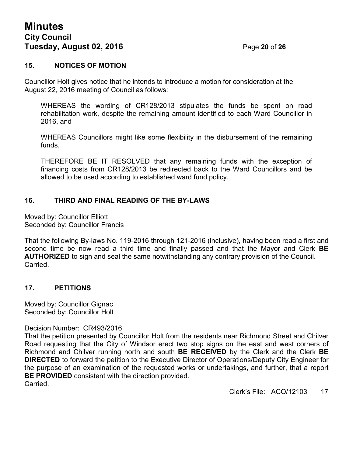### **15. NOTICES OF MOTION**

Councillor Holt gives notice that he intends to introduce a motion for consideration at the August 22, 2016 meeting of Council as follows:

WHEREAS the wording of CR128/2013 stipulates the funds be spent on road rehabilitation work, despite the remaining amount identified to each Ward Councillor in 2016, and

WHEREAS Councillors might like some flexibility in the disbursement of the remaining funds,

THEREFORE BE IT RESOLVED that any remaining funds with the exception of financing costs from CR128/2013 be redirected back to the Ward Councillors and be allowed to be used according to established ward fund policy.

## **16. THIRD AND FINAL READING OF THE BY-LAWS**

Moved by: Councillor Elliott Seconded by: Councillor Francis

That the following By-laws No. 119-2016 through 121-2016 (inclusive), having been read a first and second time be now read a third time and finally passed and that the Mayor and Clerk **BE AUTHORIZED** to sign and seal the same notwithstanding any contrary provision of the Council. Carried.

### **17. PETITIONS**

Moved by: Councillor Gignac Seconded by: Councillor Holt

#### Decision Number: CR493/2016

That the petition presented by Councillor Holt from the residents near Richmond Street and Chilver Road requesting that the City of Windsor erect two stop signs on the east and west corners of Richmond and Chilver running north and south **BE RECEIVED** by the Clerk and the Clerk **BE DIRECTED** to forward the petition to the Executive Director of Operations/Deputy City Engineer for the purpose of an examination of the requested works or undertakings, and further, that a report **BE PROVIDED** consistent with the direction provided. Carried.

Clerk's File: ACO/12103 17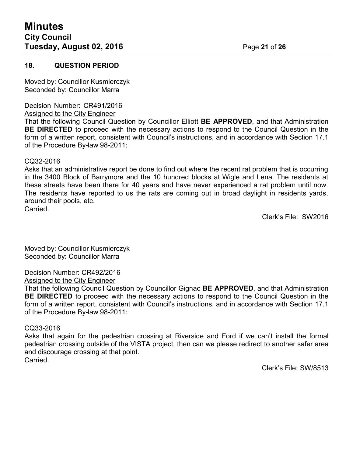### **18. QUESTION PERIOD**

Moved by: Councillor Kusmierczyk Seconded by: Councillor Marra

Decision Number: CR491/2016

Assigned to the City Engineer

That the following Council Question by Councillor Elliott **BE APPROVED**, and that Administration **BE DIRECTED** to proceed with the necessary actions to respond to the Council Question in the form of a written report, consistent with Council's instructions, and in accordance with Section 17.1 of the Procedure By-law 98-2011:

#### CQ32-2016

Asks that an administrative report be done to find out where the recent rat problem that is occurring in the 3400 Block of Barrymore and the 10 hundred blocks at Wigle and Lena. The residents at these streets have been there for 40 years and have never experienced a rat problem until now. The residents have reported to us the rats are coming out in broad daylight in residents yards, around their pools, etc. Carried.

Clerk's File: SW2016

Moved by: Councillor Kusmierczyk Seconded by: Councillor Marra

Decision Number: CR492/2016 Assigned to the City Engineer

That the following Council Question by Councillor Gignac **BE APPROVED**, and that Administration **BE DIRECTED** to proceed with the necessary actions to respond to the Council Question in the form of a written report, consistent with Council's instructions, and in accordance with Section 17.1 of the Procedure By-law 98-2011:

#### CQ33-2016

Asks that again for the pedestrian crossing at Riverside and Ford if we can't install the formal pedestrian crossing outside of the VISTA project, then can we please redirect to another safer area and discourage crossing at that point. Carried.

Clerk's File: SW/8513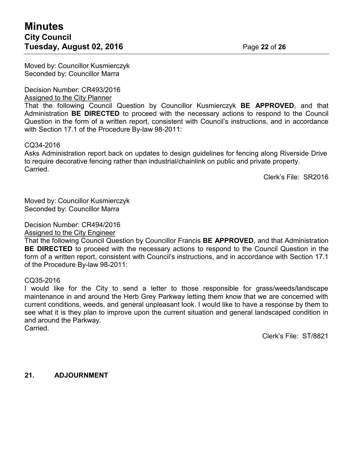Moved by: Councillor Kusmierczyk Seconded by: Councillor Marra

#### Decision Number: CR493/2016

Assigned to the City Planner

That the following Council Question by Councillor Kusmierczyk **BE APPROVED**, and that Administration **BE DIRECTED** to proceed with the necessary actions to respond to the Council Question in the form of a written report, consistent with Council's instructions, and in accordance with Section 17.1 of the Procedure By-law 98-2011:

### CQ34-2016

Asks Administration report back on updates to design guidelines for fencing along Riverside Drive to require decorative fencing rather than industrial/chainlink on public and private property. Carried.

Clerk's File: SR2016

Moved by: Councillor Kusmierczyk Seconded by: Councillor Marra

Decision Number: CR494/2016

Assigned to the City Engineer

That the following Council Question by Councillor Francis **BE APPROVED**, and that Administration **BE DIRECTED** to proceed with the necessary actions to respond to the Council Question in the form of a written report, consistent with Council's instructions, and in accordance with Section 17.1 of the Procedure By-law 98-2011:

### CQ35-2016

I would like for the City to send a letter to those responsible for grass/weeds/landscape maintenance in and around the Herb Grey Parkway letting them know that we are concerned with current conditions, weeds, and general unpleasant look. I would like to have a response by them to see what it is they plan to improve upon the current situation and general landscaped condition in and around the Parkway. Carried.

Clerk's File: ST/8821

**21. ADJOURNMENT**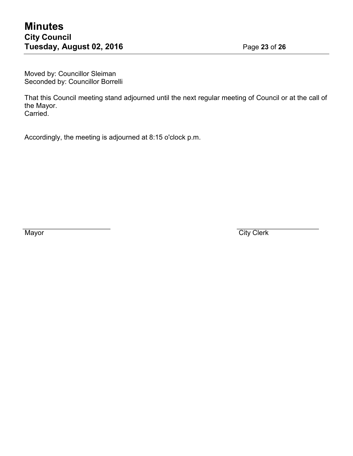Moved by: Councillor Sleiman Seconded by: Councillor Borrelli

That this Council meeting stand adjourned until the next regular meeting of Council or at the call of the Mayor. Carried.

Accordingly, the meeting is adjourned at 8:15 o'clock p.m.

Mayor City Clerk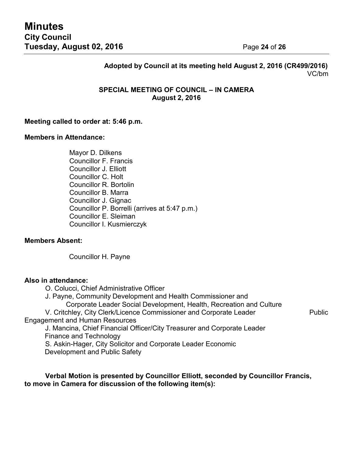# **Adopted by Council at its meeting held August 2, 2016 (CR499/2016)** VC/bm

### **SPECIAL MEETING OF COUNCIL – IN CAMERA August 2, 2016**

#### **Meeting called to order at: 5:46 p.m.**

#### **Members in Attendance:**

Mayor D. Dilkens Councillor F. Francis Councillor J. Elliott Councillor C. Holt Councillor R. Bortolin Councillor B. Marra Councillor J. Gignac Councillor P. Borrelli (arrives at 5:47 p.m.) Councillor E. Sleiman Councillor I. Kusmierczyk

#### **Members Absent:**

Councillor H. Payne

#### **Also in attendance:**

O. Colucci, Chief Administrative Officer

- J. Payne, Community Development and Health Commissioner and
	- Corporate Leader Social Development, Health, Recreation and Culture

V. Critchley, City Clerk/Licence Commissioner and Corporate Leader Public Engagement and Human Resources

J. Mancina, Chief Financial Officer/City Treasurer and Corporate Leader Finance and Technology

S. Askin-Hager, City Solicitor and Corporate Leader Economic

Development and Public Safety

**Verbal Motion is presented by Councillor Elliott, seconded by Councillor Francis, to move in Camera for discussion of the following item(s):**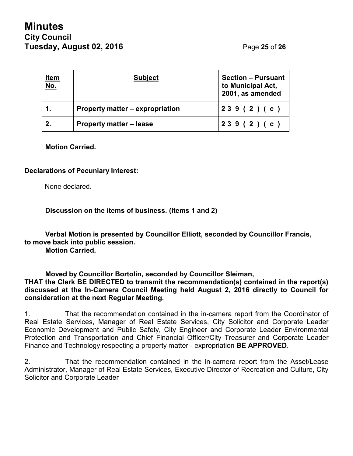| <u>ltem</u><br><u>No.</u> | <b>Subject</b>                  | <b>Section – Pursuant</b><br>to Municipal Act,<br>2001, as amended |
|---------------------------|---------------------------------|--------------------------------------------------------------------|
| 1.                        | Property matter – expropriation | 239(2)(c)                                                          |
| 2.                        | <b>Property matter - lease</b>  | 239(2)(c)                                                          |

**Motion Carried.**

### **Declarations of Pecuniary Interest:**

None declared.

**Discussion on the items of business. (Items 1 and 2)**

**Verbal Motion is presented by Councillor Elliott, seconded by Councillor Francis, to move back into public session.**

**Motion Carried.**

**Moved by Councillor Bortolin, seconded by Councillor Sleiman,**

**THAT the Clerk BE DIRECTED to transmit the recommendation(s) contained in the report(s) discussed at the In-Camera Council Meeting held August 2, 2016 directly to Council for consideration at the next Regular Meeting.**

1. That the recommendation contained in the in-camera report from the Coordinator of Real Estate Services, Manager of Real Estate Services, City Solicitor and Corporate Leader Economic Development and Public Safety, City Engineer and Corporate Leader Environmental Protection and Transportation and Chief Financial Officer/City Treasurer and Corporate Leader Finance and Technology respecting a property matter - expropriation **BE APPROVED**.

2. That the recommendation contained in the in-camera report from the Asset/Lease Administrator, Manager of Real Estate Services, Executive Director of Recreation and Culture, City Solicitor and Corporate Leader